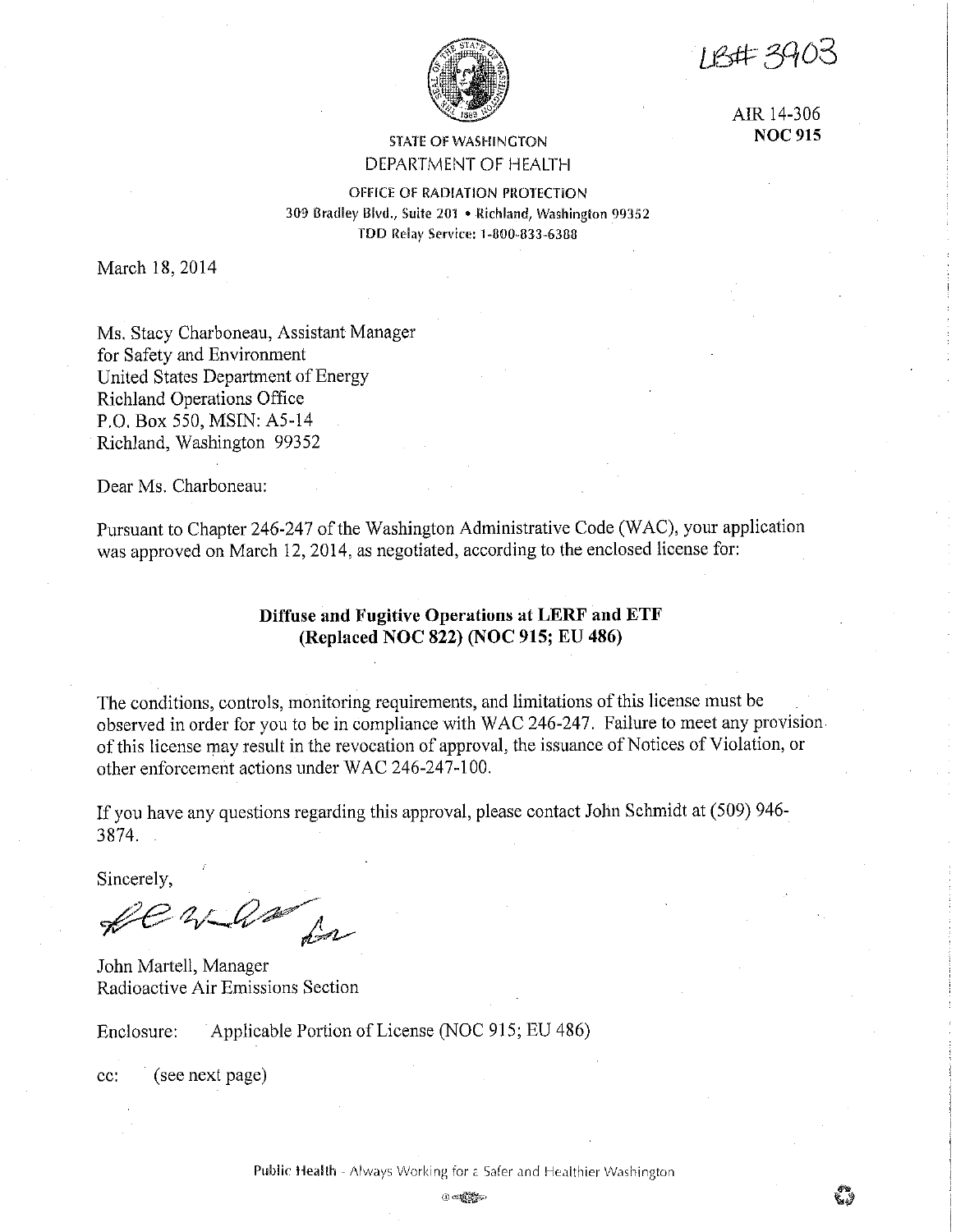**IB#39C** 



AIR 14-306 **NOC 915** 

## STATE OF WASHINGTON DEPARTMENT OF HEALTH

OFFICE OF RADIATION PROTECTION 309 Oraclley Blvd,, Suite 201 • Richland, Washington 99352 TDD Relay Service: 1-800-833-6388

March 18, 2014

Ms. Stacy Charboneau, Assistant Manager for Safety and Environment United States Department of Energy Richland Operations Office P.O. Box 550, MSIN: AS-14 Richland, Washington 99352

Dear Ms. Charboneau:

Pursuant to Chapter 246-247 of the Washington Administrative Code (WAC), your application was approved on March 12, 2014, as negotiated, according to the enclosed license for:

### **Diffuse and Fugitive Operations at LERF and ETF (Replaced NOC 822) (NOC 915; EU 486)**

The conditions, controls, monitoring requirements, and limitations of this license must be observed in order for you to be in compliance with WAC 246-247. Failure to meet any provision of this license may result in the revocation of approval, the issuance of Notices of Violation, or other enforcement actions under WAC 246-247-100.

If you have any questions regarding this approval, please contact John Schmidt at (509) 946- 3874.

Sincerely,

fe when for

John Martell, Manager Radioactive Air Emissions Section

Enclosure: Applicable Portion of License (NOC 915; EU 486)

cc: (see next page)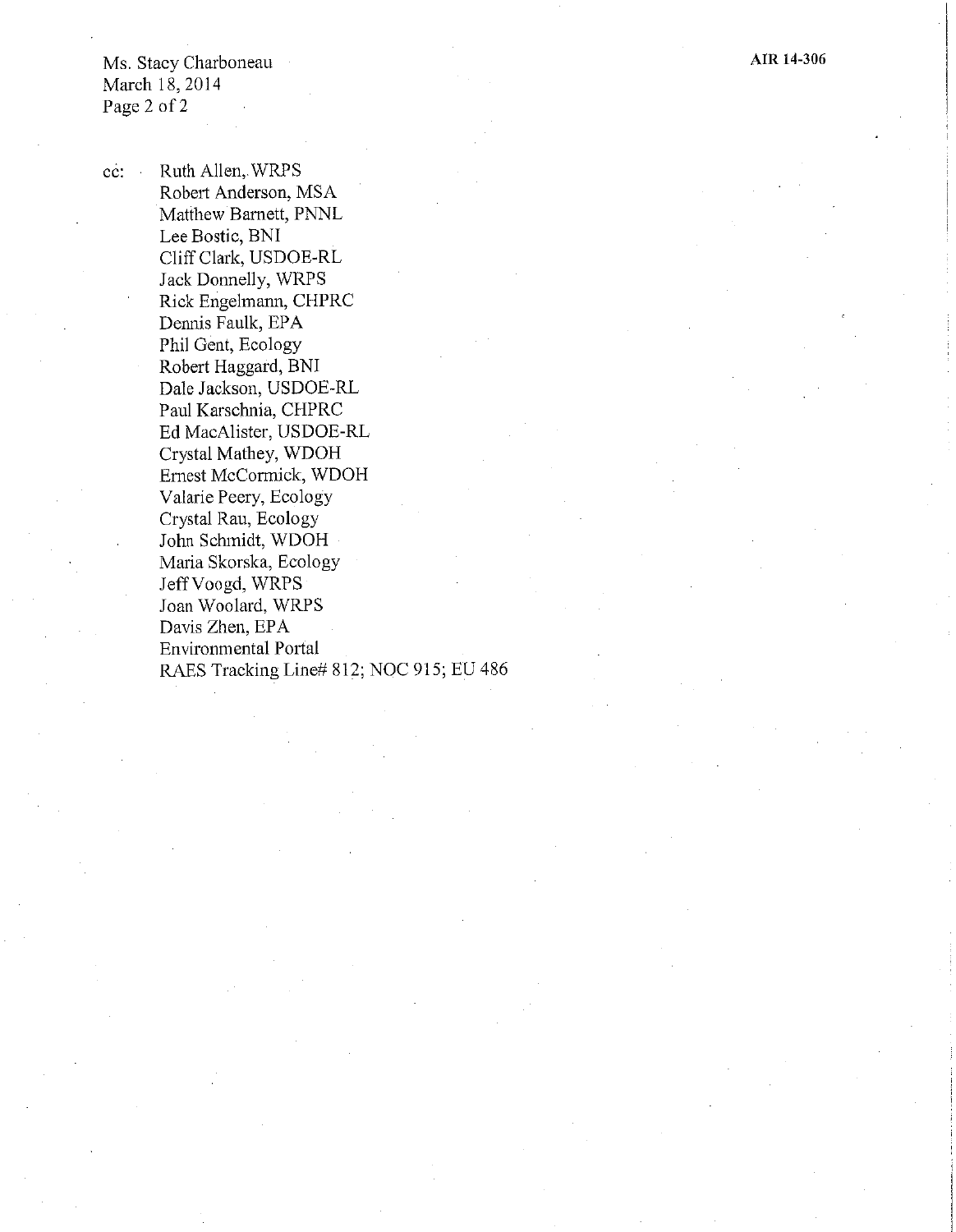**AIR 14-306** 

Ms. Stacy Charboneau March 18, 2014 Page 2 of 2

cc: Ruth Allen, WRPS Robert Anderson, MSA Matthew Barnett, PNNL Lee Bostic, BNI Cliff Clark, USDOE-RL Jack Donnelly, WRPS Rick Engelmann, CHPRC Dennis Faulk, EPA Phil Gent, Ecology Robert Haggard, BNI Dale Jackson, USDOE-RL Paul Karsclmia, CHPRC Ed MacA!ister, USDOE-RL Crystal Mathey, WDOH Ernest McCormick, WDOH Valarie Peery, Ecology Crystal Rau, Ecology John Schmidt, WDOH Maria Skorska, Ecology JeffVoogd, WRPS Joan Woolard, WRPS Davis Zhen, EPA Environmental Portal RAES Tracking Line# 812; NOC 915; EU 486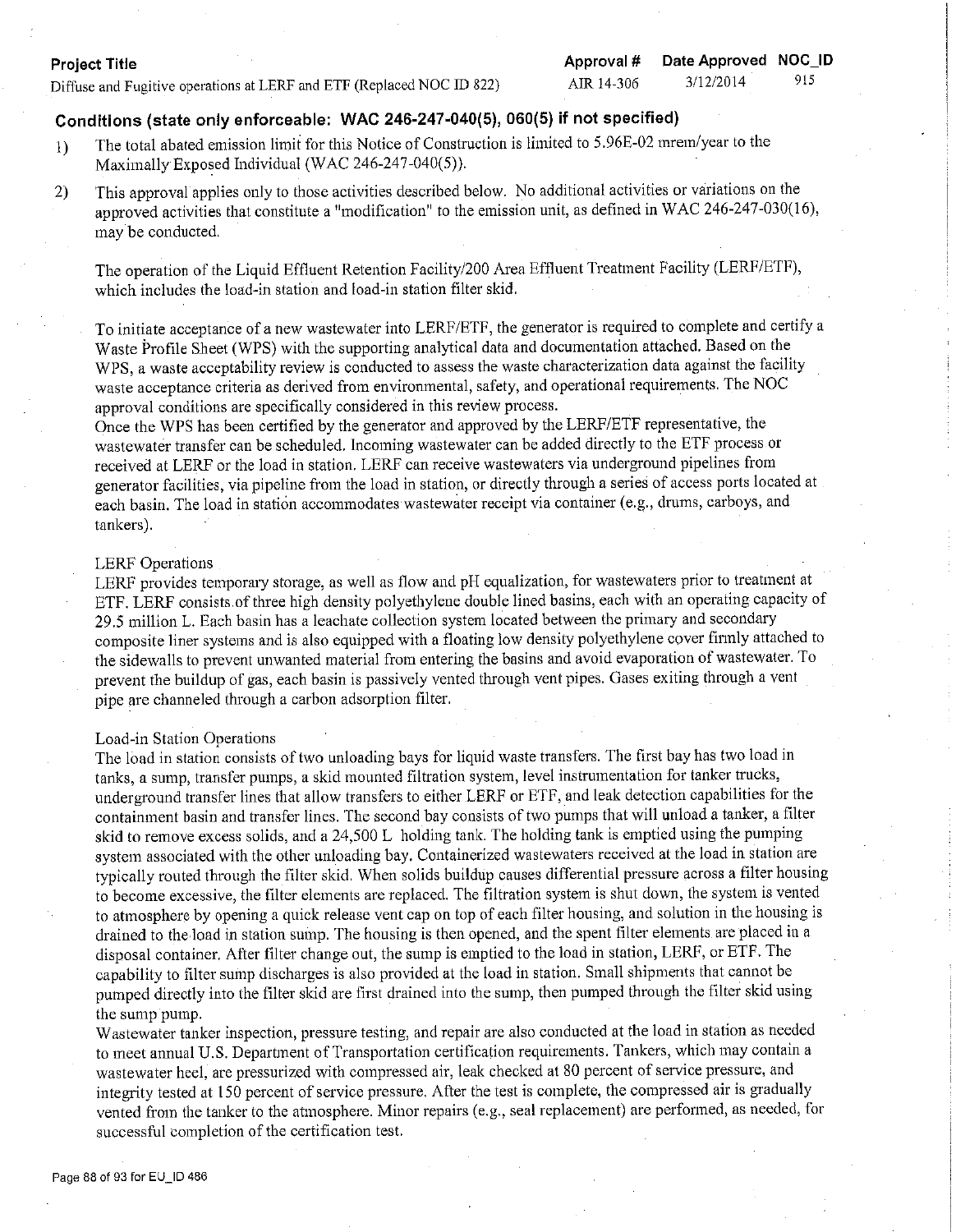### **Project Title**

Diffuse and Fugitive operations at LERF and ETF (Replaced NOC ID 822)

## **Conditions (state only enforceable: WAC 246-247-040(5), 060(5) if not specified)**

- 1) The total abated emission limit for this Notice of Construction is limited to 5.96E-02 mrem/year to the Maximally Exposed Individual (WAC 246-247-040(5)).
- 2) This approval applies only to those activities described below. No additional activities or variations on the approved activities that constitute a "modification" to the emission unit, as defined in WAC 246-247-030(16), may be conducted.

The operation of the Liquid Effluent Retention Facility/200 Area Effluent Treatment Facility (LERF/ETF), which includes the load-in station and load-in station filter skid.

To initiate acceptance of a new wastewater into LERF/ETF, the generator is required to complete and certify a Waste Profile Sheet (WPS) with the supporting analytical data and documentation attached. Based on the WPS, a waste acceptability review is conducted to assess the waste characterization data against the facility waste acceptance criteria as derived from environmental, safety, and operational requirements. The NOC approval conditions are specifically considered in this review process.

Once the WPS has been certified by the generator and approved by the LERF/ETF representative, the wastewater transfer can be scheduled. Incoming wastewater can be added directly to the ETF process or received at LERF or the load in station. LERF can receive wastewaters via underground pipelines from generator facilities, via pipeline from the load in station, or directly through a series of access ports located at each basin. The load in station accommodates wastewater receipt via container (e.g., drums, carboys, and tankers).

#### LERF Operations

LERF provides temporary storage, as well as flow and pH equalization, for wastewaters prior to treatment at ETF. LERF consists of three high density polyethylene double lined basins, each with an operating capacity of 29 .5 million L. Each basin has a leachate collection system located between the primary and secondary composite liner systems and is also equipped with a floating low density polyethylene cover finnly attached to the sidewalls to prevent unwanted material from entering the basins and avoid evaporation of wastewater. To prevent the buildup of gas, each basin is passively vented through vent pipes. Gases exiting through a vent pipe are channeled through a carbon adsorption filter.

#### Load-in Station Operations

The load in station consists of two unloading bays for liquid waste transfers. The first bay has two load in tanks, a sump, transfer pumps, a skid mounted filtration system, level instrumentation for tanker trucks, underground transfer lines that allow transfers to either LERF or ETF, and leak detection capabilities for the containment basin and transfer lines. The second bay consists of two pumps that will unload a tanker, a filter skid to remove excess solids, and a 24,500 L holding tank. The holding tank is emptied using the pumping system associated with the other unloading bay. Containerized wastewaters received at the load in station are typically routed through the filter skid. When solids buildup causes differential pressure across a filter housing to become excessive, the filter elements are replaced. The filtration system is shut down, the system is vented to atmosphere by opening a quick release vent cap on top of each filter housing, and solution in the housing is drained to the.load in station sump. The housing is then opened, and the spent filter elements are placed in a disposal container. After filter change out, the sump is emptied to the load in station, LERF, or ETF. The capability to filter sump discharges is also provided at the load in station. Small shipments that cannot be pumped directly into the filter skid are first drained into the sump, then pumped through the filter skid using the sump pump.

Wastewater tanker inspection, pressure testing, and repair are also conducted at the load in station as needed to meet annual U.S. Department of Transportation certification requirements. Tankers, which may contain a wastewater heel, are pressurized with compressed air, leak checked at 80 percent of service pressure, and integrity tested at 150 percent of service pressure. After the test is complete, the compressed air is gradually vented from the tanker to the atmosphere. Minor repairs (e.g., seal replacement) are performed, as needed, for successful completion of the certification test.

AIR 14-306 3/12/2014 915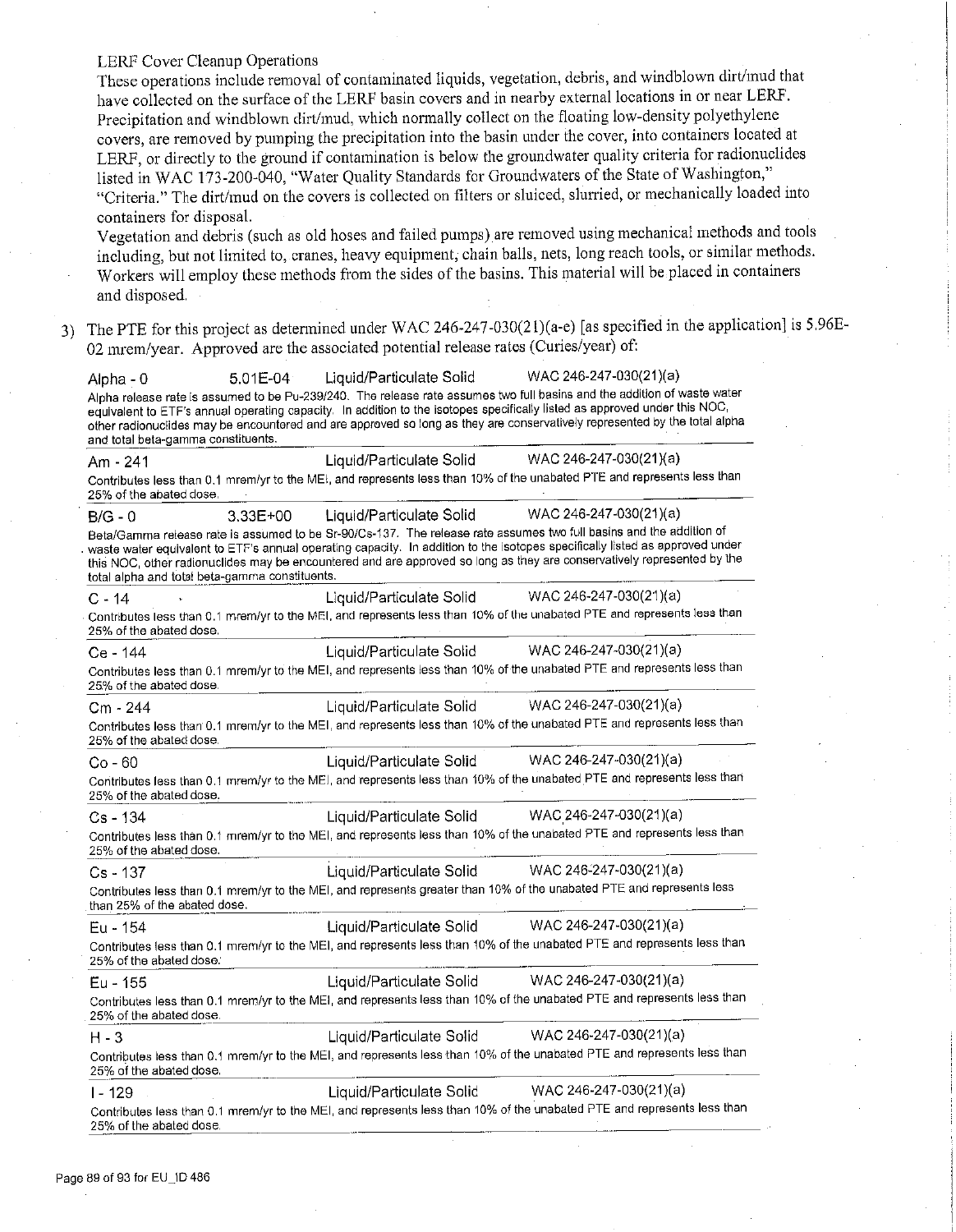LERF Cover Cleanup Operations

These operations include removal of contaminated liquids, vegetation, debris, and windblown dirt/mud that have collected on the surface of the LERF basin covers and in nearby external locations in or near LERF. Precipitation and windblown dirt/mud, which normally collect on the floating low-density polyethylene covers, are removed by pumping the precipitation into the basin under the cover, into containers located at LERF, or directly to the ground if contamination is below the groundwater quality criteria for radionuclides listed in WAC 173-200-040, "Water Quality Standards for Groundwaters of the State of Washington," "Criteria." The dirt/mud on the covers is collected on filters or sluiced, slurried, or mechanically loaded into containers for disposal.

Vegetation and debris (such as old hoses and failed pumps) are removed using mechanical methods and tools including, but not limited to, cranes, heavy equipment; chain balls, nets, long reach tools, or similar methods. Workers will employ these methods from the sides of the basins. This material will be placed in containers and disposed.

3) The PTE for this project as determined under WAC 246-247-030(2 l)(a-e) [as specified in the application] is 5.96E-02 mrem/year. Approved are the associated potential release rates (Curies/year) of:

Alpha -0 5.01E-04 Liquid/Particulate Solid WAC 246-247-030(21)(a) Alpha release rate is assumed to be Pu-239/240. The release rate assumes two full basins and the addition of waste water equivalent to ETF's annual operating capacity. In addition to the isotopes specifically listed as approved under this NOC, other radionuclides may be encountered and are approved so long as they are conservatively represented by the total alpha and total beta-gamma constituents. Am· 241 Liquid/Particulate Solid WAC 246-247-030(21)(a) Contributes less than 0.1 mrem/yr to the ME!, and represents less than 10% of the unabated PTE and represents less than 25% of the abated dose, B/G - 0 3.33E+00 Liquid/Particulate Solid WAC 246-247-030(21 )(a) Beta/Gamma re!ease rate is assumed to be Sr-90/Cs-137. The release rate assumes two full basins and the addition of . waste water equivalent to ETF's annual operating capacity. In addition to the isotopes specifically listed as approved under this NOC, other radionuclides may be encountered and are approved so long as they are conservatively represented by lhe total alpha and total beta-gamma constituents. C - 14  $\qquad \qquad$  Liquid/Particulate Solid WAC 246-247-030(21)(a) Contributes less than 0.1 mrem/yr to the MEI, and represents less than 10% of the unabated PTE and represents less than 25% of the abated dose. Ce - 144 Liquid/Particulate Solid WAC 246-247-030(21)(a) Contributes less than 0.1 mrem/yr to the MEI, and represents less than 10% of the unabated PTE and represents less than 25.% of the abated dose, Cm - 244 Liquid/Particulate Solid WAC 246-247-030(21)(a) Contributes less than· 0.1 mrem/yr to the MEI, and represents less than 10% of the unabated PTE and represents less than 25% of the abated dose. Co-60 Liquid/Particulate Solid WAC 246-247-030(21)(a) Contributes less than 0.1 mrem/yr to the MEI, and represents less than 10% of the unabated PTE and represents less than 25% of the abated dose. Cs - 134 Liquid/Particulate Solid WAC 246-247-030(21 )(a) Contributes less than 0.1 mrem/yr to the MEI, and represents less than 10% of the unabated PTE and represents less than<br>25% of the abated dose. Cs - 137 Liquid/Particulate Solid WAC 246'247-030(21)(a) Contributes less than 0.1 mrem/yr to the MEI, and represents greater than 10% of the unabated PTE and represents less than 25% of the abated dose. Eu - 154 Liquid/Particulate Solid WAC 246-24 7-030(21 )(a) Contributes less than 0.1 mrem/yr to the MEI, and represents less than 10% of the unabated PTE and represents less than 25% of the abated dose. Eu - 155 Liquid/Particulate Solid WAC 246-247-030(21 )(a) Contributes less than 0.1 mrem/yr to the MEI, and represents less than 10% of the unabated PTE and represents less than<br>25% of the abated dose.<br>H - 3 Liquid/Particulate Solid WAC 246-247-030(21)(a) Contributes less than 0.1 mrem/yr to the MEI, and represents less than 10% of the unabated PTE and represents less than 25% of the abated dose. I - 129 Liquid/Particulate Solid WAC 246-247-030(21)(a) Contributes less than 0.1 mrem/yr to the MEI, and represents less than 10% of the unabated PTE and represents less than 25% of the abated dose.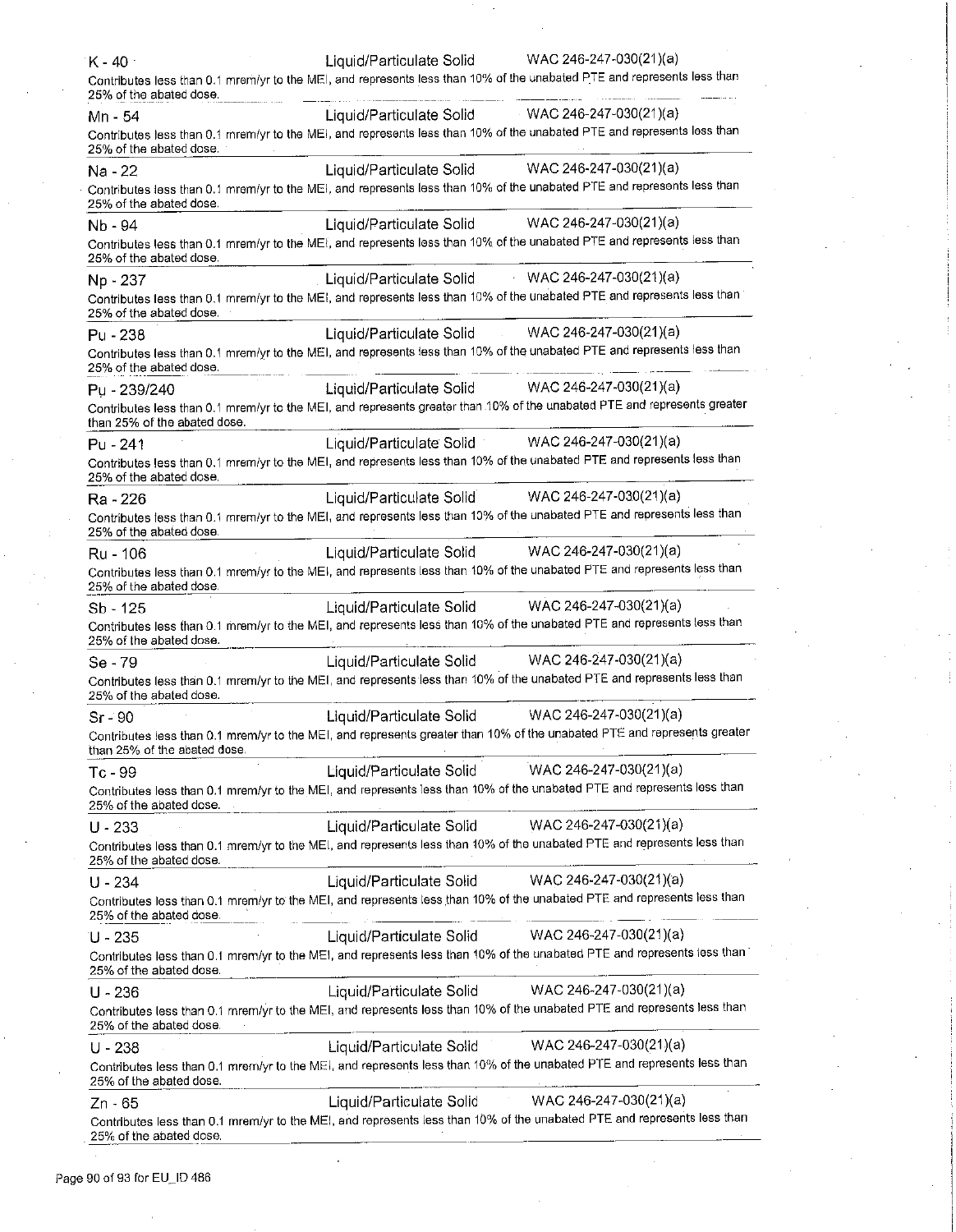| $K - 40$                     | WAC 246-247-030(21)(a)<br>Liquid/Particulate Solid                                                                       |
|------------------------------|--------------------------------------------------------------------------------------------------------------------------|
| 25% of the abated dose.      | Contributes less than 0.1 mrem/yr to the MEI, and represents less than 10% of the unabated PTE and represents less than  |
| Mn - 54                      | Liquid/Particulate Solid WAC 246-247-030(21)(a)                                                                          |
| 25% of the abated dose.      | Contributes less than 0.1 mrem/yr to the MEI, and represents less than 10% of the unabated PTE and represents less than  |
| Na - 22                      | Liquid/Particulate Solid WAC 246-247-030(21)(a)                                                                          |
| 25% of the abated dose.      | Contributes less than 0.1 mrem/yr to the MEI, and represents less than 10% of the unabated PTE and represents less than  |
| Nb - 94                      | WAC 246-247-030(21)(a)<br>Liquid/Particulate Solid                                                                       |
| 25% of the abated dose.      | Contributes less than 0.1 mrem/yr to the MEI, and represents less than 10% of the unabated PTE and represents less than  |
| Np - 237                     | Liquid/Particulate Solid WAC 246-247-030(21)(a)                                                                          |
| 25% of the abated dose.      | Contributes less than 0.1 mrem/yr to the MEI, and represents less than 10% of the unabated PTE and represents less than  |
| Pu - 238                     | Liquid/Particulate Solid WAC 246-247-030(21)(a)                                                                          |
| 25% of the abated dose.      | Contributes less than 0.1 mrem/yr to the MEI, and represents less than 10% of the unabated PTE and represents less than  |
| Pu - 239/240                 | WAC 246-247-030(21)(a)<br>Liquid/Particulate Solid                                                                       |
| than 25% of the abated dose. | Contributes less than 0.1 mrem/yr to the MEI, and represents greater than 10% of the unabated PTE and represents greater |
| Pu - 241                     | WAC 246-247-030(21)(a)<br>Liquid/Particulate Solid                                                                       |
| 25% of the abated dose.      | Contributes less than 0.1 mrem/yr to the MEI, and represents less than 10% of the unabated PTE and represents less than  |
| Ra - 226                     | WAC 246-247-030(21)(a)<br>Liquid/Particulate Solid                                                                       |
| 25% of the abated dose.      | Contributes less than 0.1 mrem/yr to the MEI, and represents less than 10% of the unabated PTE and represents less than  |
| Ru - 106                     | WAC 246-247-030(21)(a)<br>Liquid/Particulate Solid                                                                       |
| 25% of the abated dose.      | Contributes less than 0.1 mrem/yr to the MEI, and represents less than 10% of the unabated PTE and represents less than  |
| $Sb - 125$                   | WAC 246-247-030(21)(a)<br>Liquid/Particulate Solid                                                                       |
| 25% of the abated dose.      | Contributes less than 0.1 mrem/yr to the MEI, and represents less than 10% of the unabated PTE and represents less than  |
| Se - 79                      | WAC 246-247-030(21)(a)<br>Liquid/Particulate Solid                                                                       |
| 25% of the abated dose.      | Contributes less than 0.1 mrem/yr to the MEI, and represents less than 10% of the unabated PTE and represents less than  |
| $Sr - 90$                    | WAC 246-247-030(21)(a)<br>Liquid/Particulate Solid                                                                       |
| than 25% of the abated dose. | Contributes less than 0.1 mrem/yr to the MEI, and represents greater than 10% of the unabated PTE and represents greater |
| $Tc - 99$                    | WAC 246-247-030(21)(a)<br>Liquid/Particulate Solid                                                                       |
| 25% of the abated dose.      | Contributes less than 0.1 mrem/yr to the MEI, and represents less than 10% of the unabated PTE and represents less than  |
| $U - 233$                    | $WAC 246 - 247 - 030(21)(a)$<br>Liquid/Particulate Solid                                                                 |
| 25% of the abated dose.      | Contributes less than 0.1 mrem/yr to the MEI, and represents less than 10% of the unabated PTE and represents less than  |
| $U - 234$                    | WAC 246-247-030(21)(a)<br>Liquid/Particulate Solid                                                                       |
| 25% of the abated dose.      | Contributes less than 0.1 mrem/yr to the MEI, and represents less than 10% of the unabated PTE and represents less than  |
| U - 235                      | WAC 246-247-030(21)(a)<br>Liquid/Particulate Solid                                                                       |
| 25% of the abated dose.      | Contributes less than 0.1 mrem/yr to the MEI, and represents less than 10% of the unabated PTE and represents less than  |
| $U - 236$                    | WAC 246-247-030(21)(a)<br>Liquid/Particulate Solid                                                                       |
| 25% of the abated dose.      | Contributes less than 0.1 mrem/yr to the MEI, and represents less than 10% of the unabated PTE and represents less than  |
| $U - 238$                    | WAC 246-247-030(21)(a)<br>Liquid/Particulate Solid                                                                       |
| 25% of the abated dose.      | Contributes less than 0.1 mrem/yr to the MEI, and represents less than 10% of the unabated PTE and represents less than  |
| Zn 65                        | WAC 246-247-030(21)(a)<br>Liquid/Particulate Solid                                                                       |
| 25% of the abated dose.      | Contributes less than 0.1 mrem/yr to the MEI, and represents less than 10% of the unabated PTE and represents less than  |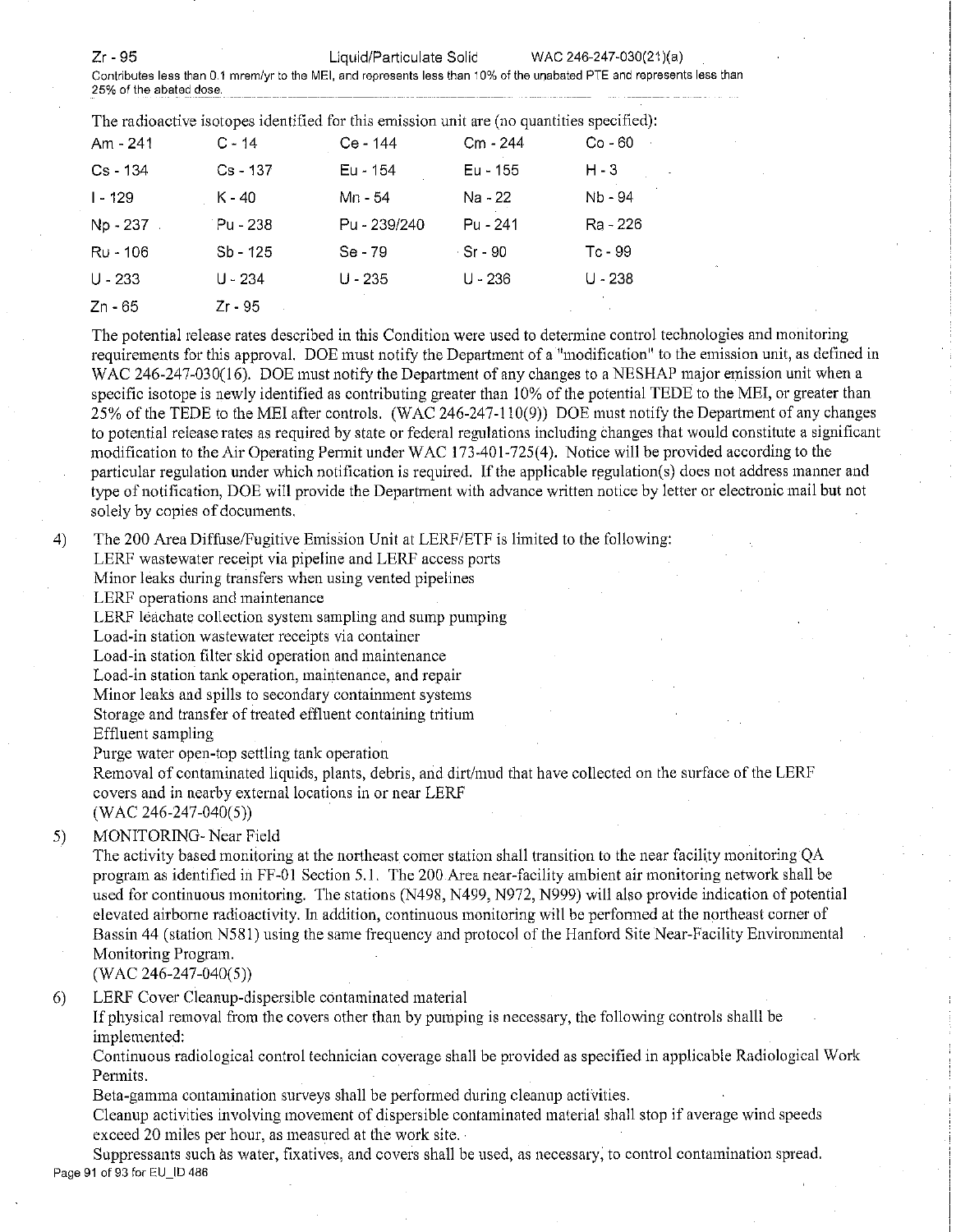Zr - 95 Liquid/Particulate Solid WAC 246-247-030(21)(a)

**Contributes less than 0.1 mrem/yr to the MEI, and represents less than :a% of the unabated PTE and represents less than 25% of the abated dose.** ------------------- ---

| The radioactive isotopes identified for this emission unit are (no quantities specified). |  |  |  |
|-------------------------------------------------------------------------------------------|--|--|--|
|                                                                                           |  |  |  |

|              |            | The radioactive footobed recutively for this entholion will are the demitting specifical |           |                          |
|--------------|------------|------------------------------------------------------------------------------------------|-----------|--------------------------|
| Am - 241     | $C - 14$   | Ce - 144                                                                                 | Cm - 244  | Co - 60<br>$\sim$ $\sim$ |
| $Cs - 134$   | $Cs - 137$ | Eu - 154                                                                                 | Eu - 155  | H - 3                    |
| $1 - 129$    | K - 40     | Mn - 54                                                                                  | Na - 22   | Nb - 94                  |
| $Np - 237$ . | Pu - 238   | Pu - 239/240                                                                             | Pu - 241  | Ra - 226                 |
| Ru - 106     | $Sb - 125$ | Se - 79                                                                                  | ∴Sr - 90  | Tc - 99                  |
| $U - 233$    | U - 234    | $U - 235$                                                                                | $U - 236$ | $U - 238$                |
| Zn - 65      | Zr - 95    |                                                                                          |           |                          |
|              |            |                                                                                          |           |                          |

The potential release rates described in this Condition were used to detennine control technologies and monitoring requirements for this approval. DOE must notify the Department of a "modification" to the emission unit, as defined in WAC 246-247-030(16). DOE must notify the Department of any changes to a NESHAP major emission unit when a specific isotope is newly identified as contributing greater than 10% of the potential TEDE to the MEI, or greater than 25% of the TEDE to the MEI after controls. (WAC 246-247-110(9)) DOE must notify the Department of any changes to potential release rates as required by state or federal regulations including changes that would constitute a significant modification to the Air Operating Permit under WAC 173-401-725(4). Notice will be provided according to the particular regulation under which notification is required. If the applicable regulation(s) does not address manner and type of notification, DOE will provide the Department with advance written notice by letter or electronic mail but not solely by copies of documents.

4) The 200 Area Diffuse/Fugitive Emission Unit at LERF/ETF is limited to the following:

LERF wastewater receipt via pipeline and LERF access ports

Minor leaks during transfers when using vented pipelines

LERF operations and maintenance

LERF leachate collection system sampling and sump pumping

**Load-in station wastewater receipts via container** 

Load-in station filter skid operation and maintenance

**Load-in station tank operation, maintenance, and repair** 

Minor leaks and spills to secondary containment systems

Storage and transfer of treated effluent containing tritium

Effluent sampling

Purge water open-top settling tank operation

Removal of contaminated liquids, plants, debris, and dirt/mud that have collected on the surface of the LERF covers and in nearby external locations in or near LERF

 $(WAC 246-247-040(5))$ 

# 5) MONITORING- Near Field

The activity based monitoring at the northeast comer station shall transition to the near facility monitoring QA program as identified in FF-01 Section 5.1. The 200 Area near-facility ambient air monitoring network shall be used for continuous monitoring. The stations (N498, N499, N972, N999) will also provide indication of potential elevated airborne radioactivity. In addition, continuous monitoring will be perfonned at the northeast corner of Bassin 44 (station N58 l) using the same frequency and protocol of the Hanford Site Near-Facility Environmental Monitoring Program.

(WAC 246-247-040(5))

6) LERF Cover Cleanup-dispersible contaminated material

If physical removal from the covers other than by pumping is necessary, the following controls shalll be implemented:

Continuous radiological control technician coverage shall be provided as specified in applicable Radiological Work Permits.

Beta-gamma contamination surveys shall be performed during cleanup activities.

Cleanup activities involving movement of dispersible contaminated material shall stop if average wind speeds exceed 20 miles per hour, as measured at the work site.

**Suppressants such as water, fixatives, and covers shall be used, as necessary, to control contamination spread.**  Page 91 of 93 for EU\_ID 486